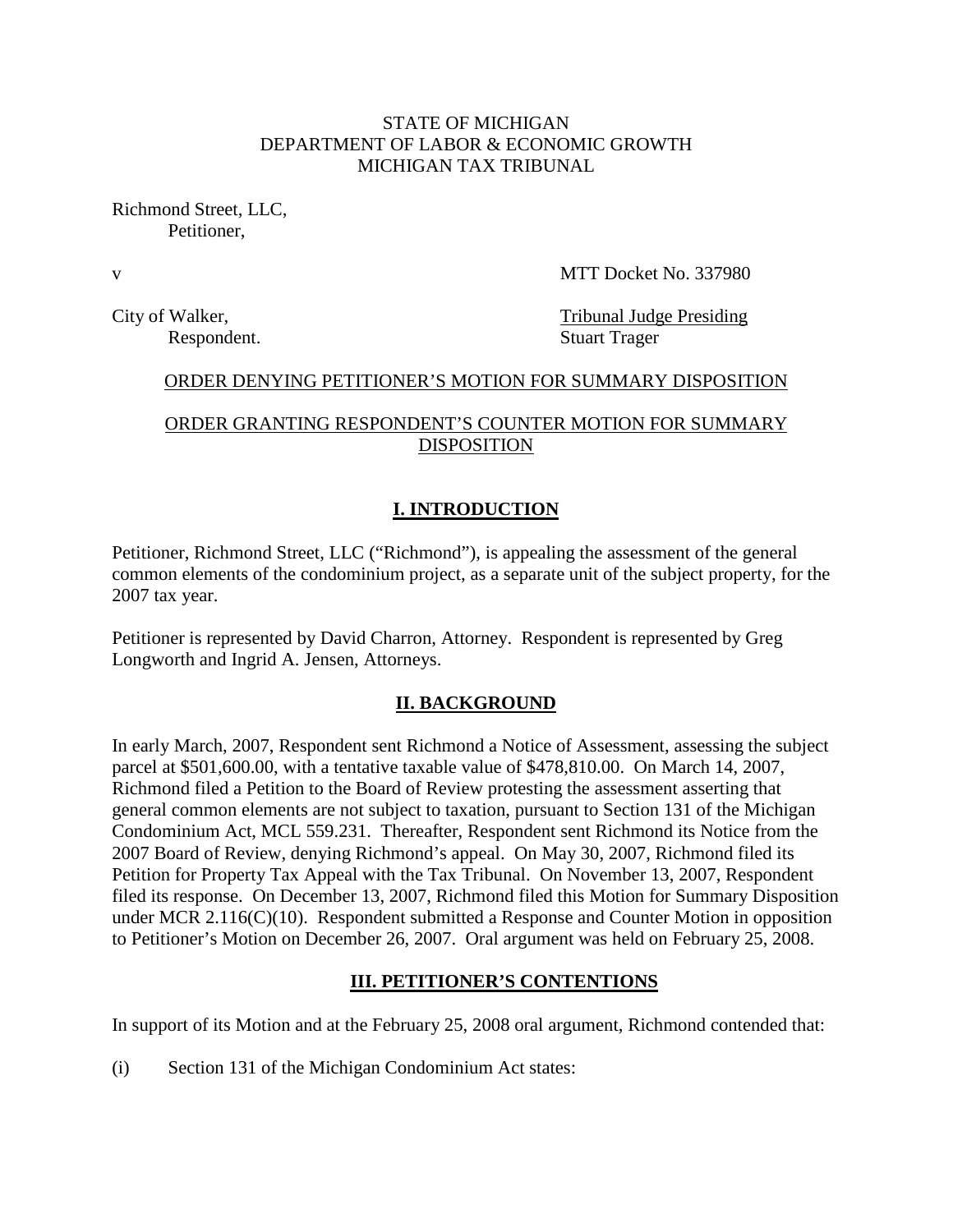## STATE OF MICHIGAN DEPARTMENT OF LABOR & ECONOMIC GROWTH MICHIGAN TAX TRIBUNAL

Richmond Street, LLC, Petitioner,

v MTT Docket No. 337980

City of Walker, Tribunal Judge Presiding Respondent. Stuart Trager

#### ORDER DENYING PETITIONER'S MOTION FOR SUMMARY DISPOSITION

## ORDER GRANTING RESPONDENT'S COUNTER MOTION FOR SUMMARY DISPOSITION

## **I. INTRODUCTION**

Petitioner, Richmond Street, LLC ("Richmond"), is appealing the assessment of the general common elements of the condominium project, as a separate unit of the subject property, for the 2007 tax year.

Petitioner is represented by David Charron, Attorney. Respondent is represented by Greg Longworth and Ingrid A. Jensen, Attorneys.

### **II. BACKGROUND**

In early March, 2007, Respondent sent Richmond a Notice of Assessment, assessing the subject parcel at \$501,600.00, with a tentative taxable value of \$478,810.00. On March 14, 2007, Richmond filed a Petition to the Board of Review protesting the assessment asserting that general common elements are not subject to taxation, pursuant to Section 131 of the Michigan Condominium Act, MCL 559.231. Thereafter, Respondent sent Richmond its Notice from the 2007 Board of Review, denying Richmond's appeal. On May 30, 2007, Richmond filed its Petition for Property Tax Appeal with the Tax Tribunal. On November 13, 2007, Respondent filed its response. On December 13, 2007, Richmond filed this Motion for Summary Disposition under MCR 2.116(C)(10). Respondent submitted a Response and Counter Motion in opposition to Petitioner's Motion on December 26, 2007. Oral argument was held on February 25, 2008.

#### **III. PETITIONER'S CONTENTIONS**

In support of its Motion and at the February 25, 2008 oral argument, Richmond contended that:

(i) Section 131 of the Michigan Condominium Act states: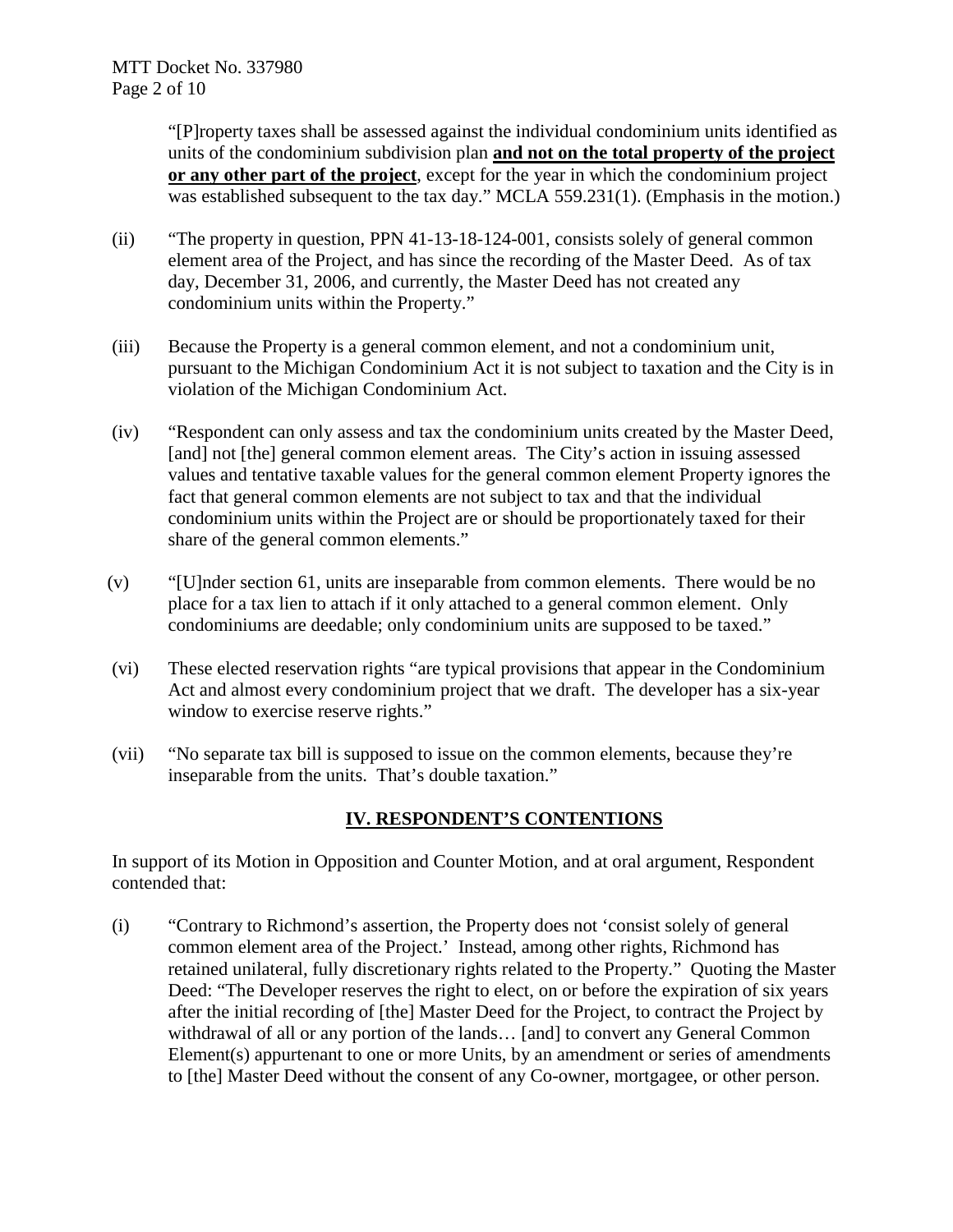"[P]roperty taxes shall be assessed against the individual condominium units identified as units of the condominium subdivision plan **and not on the total property of the project or any other part of the project**, except for the year in which the condominium project was established subsequent to the tax day." MCLA 559.231(1). (Emphasis in the motion.)

- (ii) "The property in question, PPN 41-13-18-124-001, consists solely of general common element area of the Project, and has since the recording of the Master Deed. As of tax day, December 31, 2006, and currently, the Master Deed has not created any condominium units within the Property."
- (iii) Because the Property is a general common element, and not a condominium unit, pursuant to the Michigan Condominium Act it is not subject to taxation and the City is in violation of the Michigan Condominium Act.
- (iv) "Respondent can only assess and tax the condominium units created by the Master Deed, [and] not [the] general common element areas. The City's action in issuing assessed values and tentative taxable values for the general common element Property ignores the fact that general common elements are not subject to tax and that the individual condominium units within the Project are or should be proportionately taxed for their share of the general common elements."
- (v) "[U]nder section 61, units are inseparable from common elements. There would be no place for a tax lien to attach if it only attached to a general common element. Only condominiums are deedable; only condominium units are supposed to be taxed."
- (vi) These elected reservation rights "are typical provisions that appear in the Condominium Act and almost every condominium project that we draft. The developer has a six-year window to exercise reserve rights."
- (vii) "No separate tax bill is supposed to issue on the common elements, because they're inseparable from the units. That's double taxation."

# **IV. RESPONDENT'S CONTENTIONS**

In support of its Motion in Opposition and Counter Motion, and at oral argument, Respondent contended that:

(i) "Contrary to Richmond's assertion, the Property does not 'consist solely of general common element area of the Project.' Instead, among other rights, Richmond has retained unilateral, fully discretionary rights related to the Property." Quoting the Master Deed: "The Developer reserves the right to elect, on or before the expiration of six years after the initial recording of [the] Master Deed for the Project, to contract the Project by withdrawal of all or any portion of the lands... [and] to convert any General Common Element(s) appurtenant to one or more Units, by an amendment or series of amendments to [the] Master Deed without the consent of any Co-owner, mortgagee, or other person.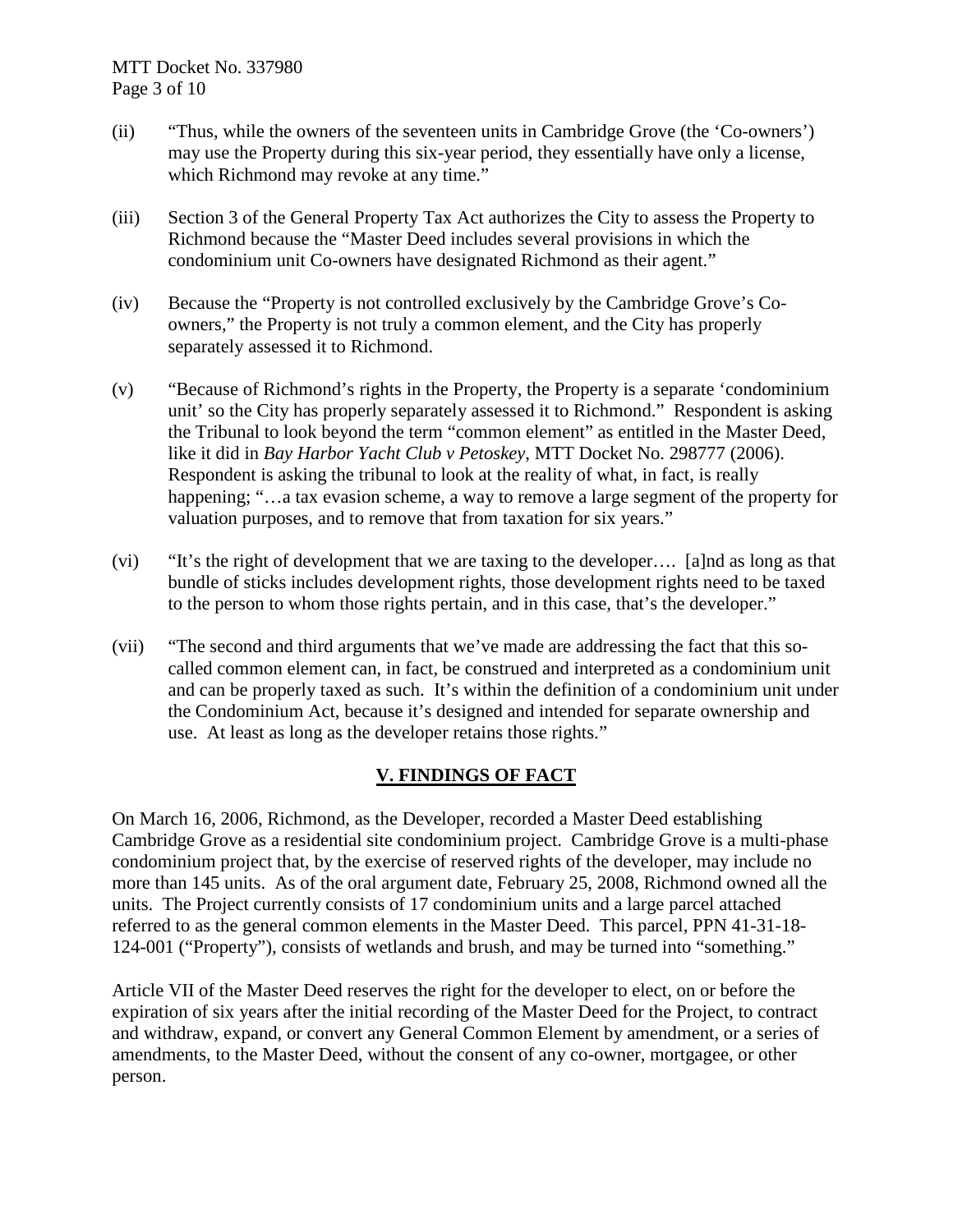- (ii) "Thus, while the owners of the seventeen units in Cambridge Grove (the 'Co-owners') may use the Property during this six-year period, they essentially have only a license, which Richmond may revoke at any time."
- (iii) Section 3 of the General Property Tax Act authorizes the City to assess the Property to Richmond because the "Master Deed includes several provisions in which the condominium unit Co-owners have designated Richmond as their agent."
- (iv) Because the "Property is not controlled exclusively by the Cambridge Grove's Coowners," the Property is not truly a common element, and the City has properly separately assessed it to Richmond.
- (v) "Because of Richmond's rights in the Property, the Property is a separate 'condominium unit' so the City has properly separately assessed it to Richmond." Respondent is asking the Tribunal to look beyond the term "common element" as entitled in the Master Deed, like it did in *Bay Harbor Yacht Club v Petoskey*, MTT Docket No. 298777 (2006). Respondent is asking the tribunal to look at the reality of what, in fact, is really happening; "...a tax evasion scheme, a way to remove a large segment of the property for valuation purposes, and to remove that from taxation for six years."
- (vi) "It's the right of development that we are taxing to the developer…. [a]nd as long as that bundle of sticks includes development rights, those development rights need to be taxed to the person to whom those rights pertain, and in this case, that's the developer."
- (vii) "The second and third arguments that we've made are addressing the fact that this socalled common element can, in fact, be construed and interpreted as a condominium unit and can be properly taxed as such. It's within the definition of a condominium unit under the Condominium Act, because it's designed and intended for separate ownership and use. At least as long as the developer retains those rights."

# **V. FINDINGS OF FACT**

On March 16, 2006, Richmond, as the Developer, recorded a Master Deed establishing Cambridge Grove as a residential site condominium project. Cambridge Grove is a multi-phase condominium project that, by the exercise of reserved rights of the developer, may include no more than 145 units. As of the oral argument date, February 25, 2008, Richmond owned all the units. The Project currently consists of 17 condominium units and a large parcel attached referred to as the general common elements in the Master Deed. This parcel, PPN 41-31-18- 124-001 ("Property"), consists of wetlands and brush, and may be turned into "something."

Article VII of the Master Deed reserves the right for the developer to elect, on or before the expiration of six years after the initial recording of the Master Deed for the Project, to contract and withdraw, expand, or convert any General Common Element by amendment, or a series of amendments, to the Master Deed, without the consent of any co-owner, mortgagee, or other person.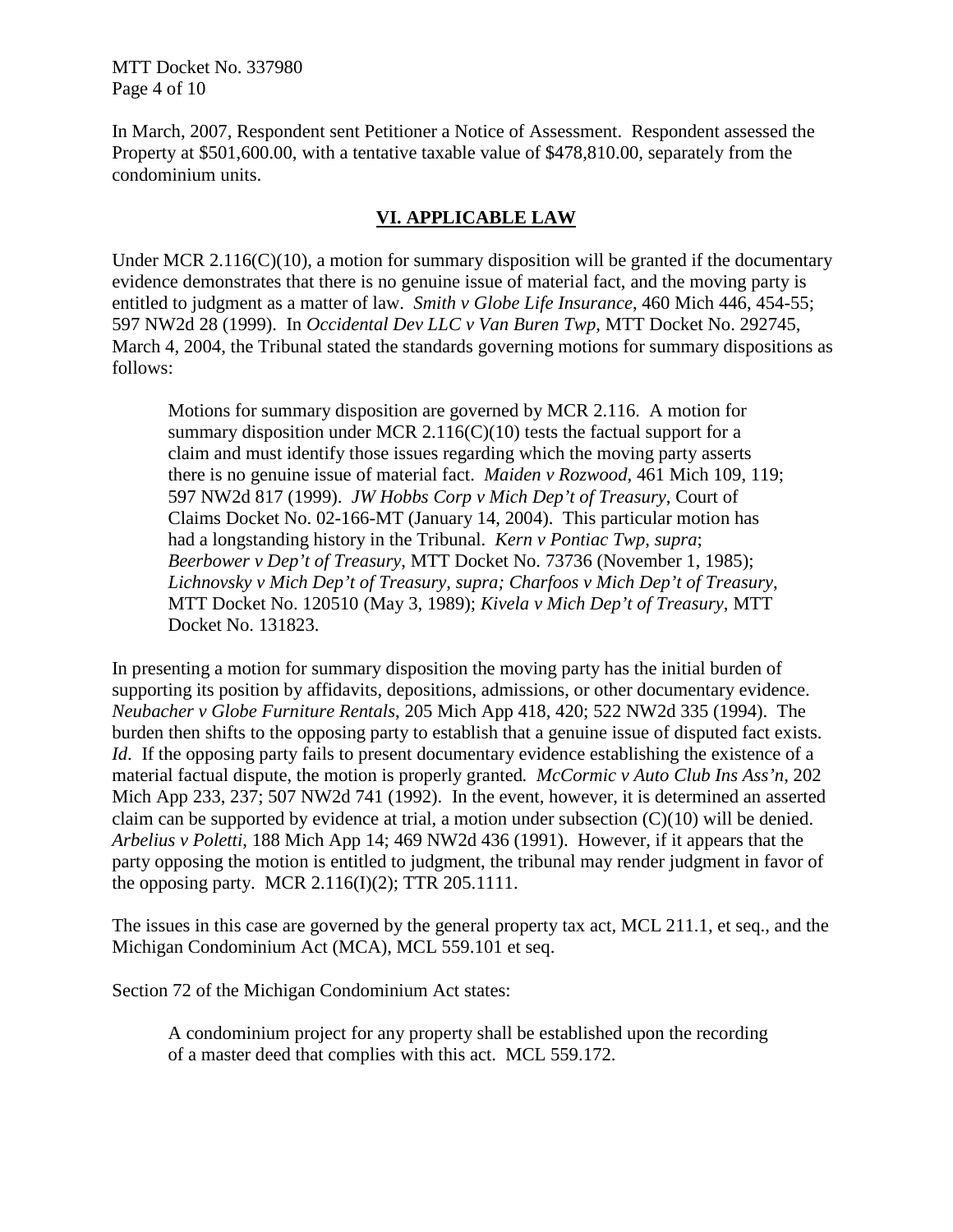MTT Docket No. 337980 Page 4 of 10

In March, 2007, Respondent sent Petitioner a Notice of Assessment. Respondent assessed the Property at \$501,600.00, with a tentative taxable value of \$478,810.00, separately from the condominium units.

## **VI. APPLICABLE LAW**

Under MCR 2.116( $C(10)$ , a motion for summary disposition will be granted if the documentary evidence demonstrates that there is no genuine issue of material fact, and the moving party is entitled to judgment as a matter of law. *Smith v Globe Life Insurance*, 460 Mich 446, 454-55; 597 NW2d 28 (1999). In *Occidental Dev LLC v Van Buren Twp*, MTT Docket No. 292745, March 4, 2004, the Tribunal stated the standards governing motions for summary dispositions as follows:

Motions for summary disposition are governed by MCR 2.116. A motion for summary disposition under MCR 2.116(C)(10) tests the factual support for a claim and must identify those issues regarding which the moving party asserts there is no genuine issue of material fact. *Maiden v Rozwood*, 461 Mich 109, 119; 597 NW2d 817 (1999). *JW Hobbs Corp v Mich Dep't of Treasury*, Court of Claims Docket No. 02-166-MT (January 14, 2004). This particular motion has had a longstanding history in the Tribunal. *Kern v Pontiac Twp, supra*; *Beerbower v Dep't of Treasury*, MTT Docket No. 73736 (November 1, 1985); *Lichnovsky v Mich Dep't of Treasury, supra; Charfoos v Mich Dep't of Treasury*, MTT Docket No. 120510 (May 3, 1989); *Kivela v Mich Dep't of Treasury*, MTT Docket No. 131823.

In presenting a motion for summary disposition the moving party has the initial burden of supporting its position by affidavits, depositions, admissions, or other documentary evidence. *Neubacher v Globe Furniture Rentals*, 205 Mich App 418, 420; 522 NW2d 335 (1994). The burden then shifts to the opposing party to establish that a genuine issue of disputed fact exists. *Id.* If the opposing party fails to present documentary evidence establishing the existence of a material factual dispute, the motion is properly granted*. McCormic v Auto Club Ins Ass'n*, 202 Mich App 233, 237; 507 NW2d 741 (1992). In the event, however, it is determined an asserted claim can be supported by evidence at trial, a motion under subsection  $(C)(10)$  will be denied. *Arbelius v Poletti*, 188 Mich App 14; 469 NW2d 436 (1991). However, if it appears that the party opposing the motion is entitled to judgment, the tribunal may render judgment in favor of the opposing party. MCR 2.116(I)(2); TTR 205.1111.

The issues in this case are governed by the general property tax act, MCL 211.1, et seq., and the Michigan Condominium Act (MCA), MCL 559.101 et seq.

Section 72 of the Michigan Condominium Act states:

A condominium project for any property shall be established upon the recording of a master deed that complies with this act. MCL 559.172.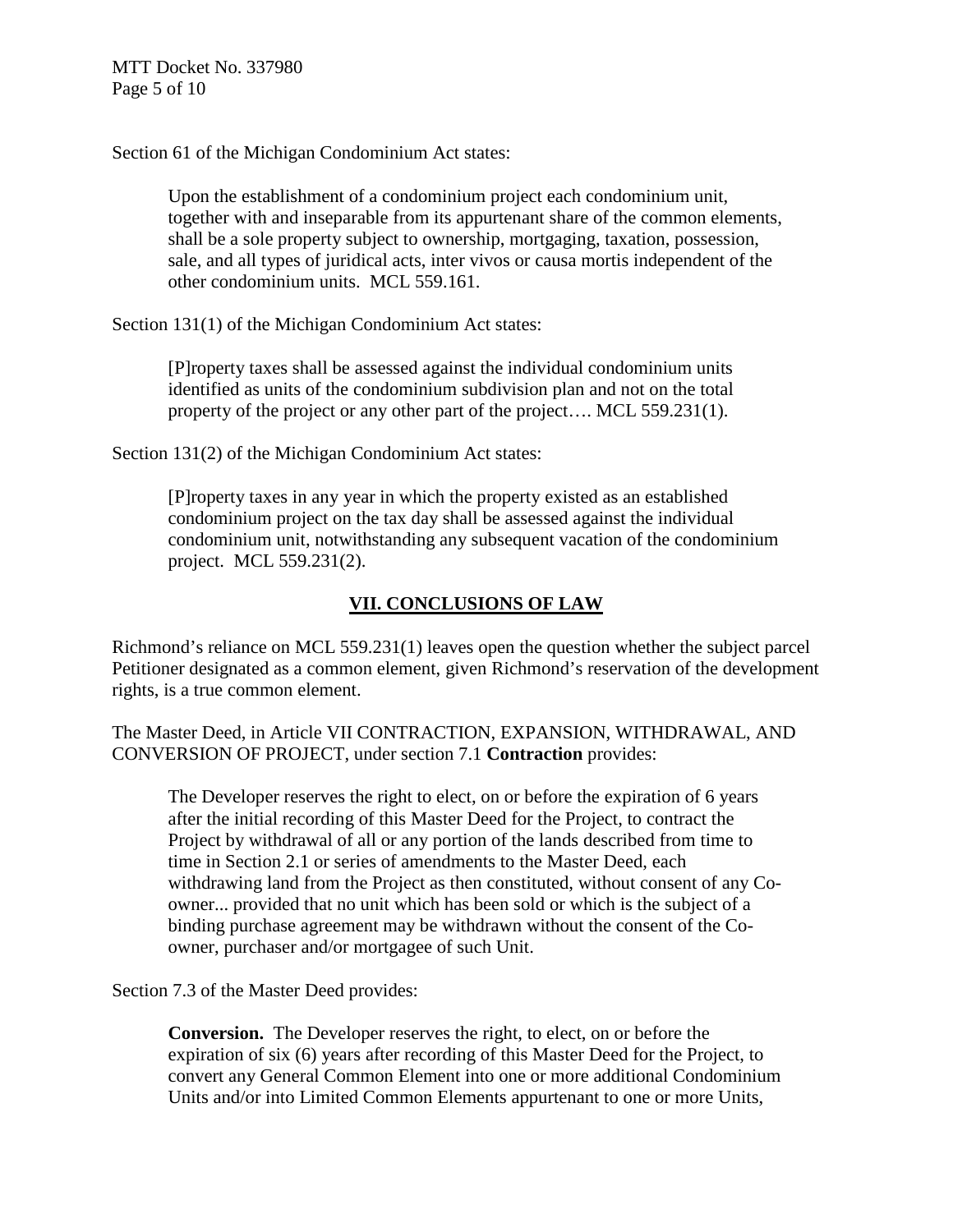Section 61 of the Michigan Condominium Act states:

Upon the establishment of a condominium project each condominium unit, together with and inseparable from its appurtenant share of the common elements, shall be a sole property subject to ownership, mortgaging, taxation, possession, sale, and all types of juridical acts, inter vivos or causa mortis independent of the other condominium units. MCL 559.161.

Section 131(1) of the Michigan Condominium Act states:

[P]roperty taxes shall be assessed against the individual condominium units identified as units of the condominium subdivision plan and not on the total property of the project or any other part of the project…. MCL 559.231(1).

Section 131(2) of the Michigan Condominium Act states:

[P]roperty taxes in any year in which the property existed as an established condominium project on the tax day shall be assessed against the individual condominium unit, notwithstanding any subsequent vacation of the condominium project. MCL 559.231(2).

# **VII. CONCLUSIONS OF LAW**

Richmond's reliance on MCL 559.231(1) leaves open the question whether the subject parcel Petitioner designated as a common element, given Richmond's reservation of the development rights, is a true common element.

The Master Deed, in Article VII CONTRACTION, EXPANSION, WITHDRAWAL, AND CONVERSION OF PROJECT, under section 7.1 **Contraction** provides:

The Developer reserves the right to elect, on or before the expiration of 6 years after the initial recording of this Master Deed for the Project, to contract the Project by withdrawal of all or any portion of the lands described from time to time in Section 2.1 or series of amendments to the Master Deed, each withdrawing land from the Project as then constituted, without consent of any Coowner... provided that no unit which has been sold or which is the subject of a binding purchase agreement may be withdrawn without the consent of the Coowner, purchaser and/or mortgagee of such Unit.

Section 7.3 of the Master Deed provides:

**Conversion.** The Developer reserves the right, to elect, on or before the expiration of six (6) years after recording of this Master Deed for the Project, to convert any General Common Element into one or more additional Condominium Units and/or into Limited Common Elements appurtenant to one or more Units,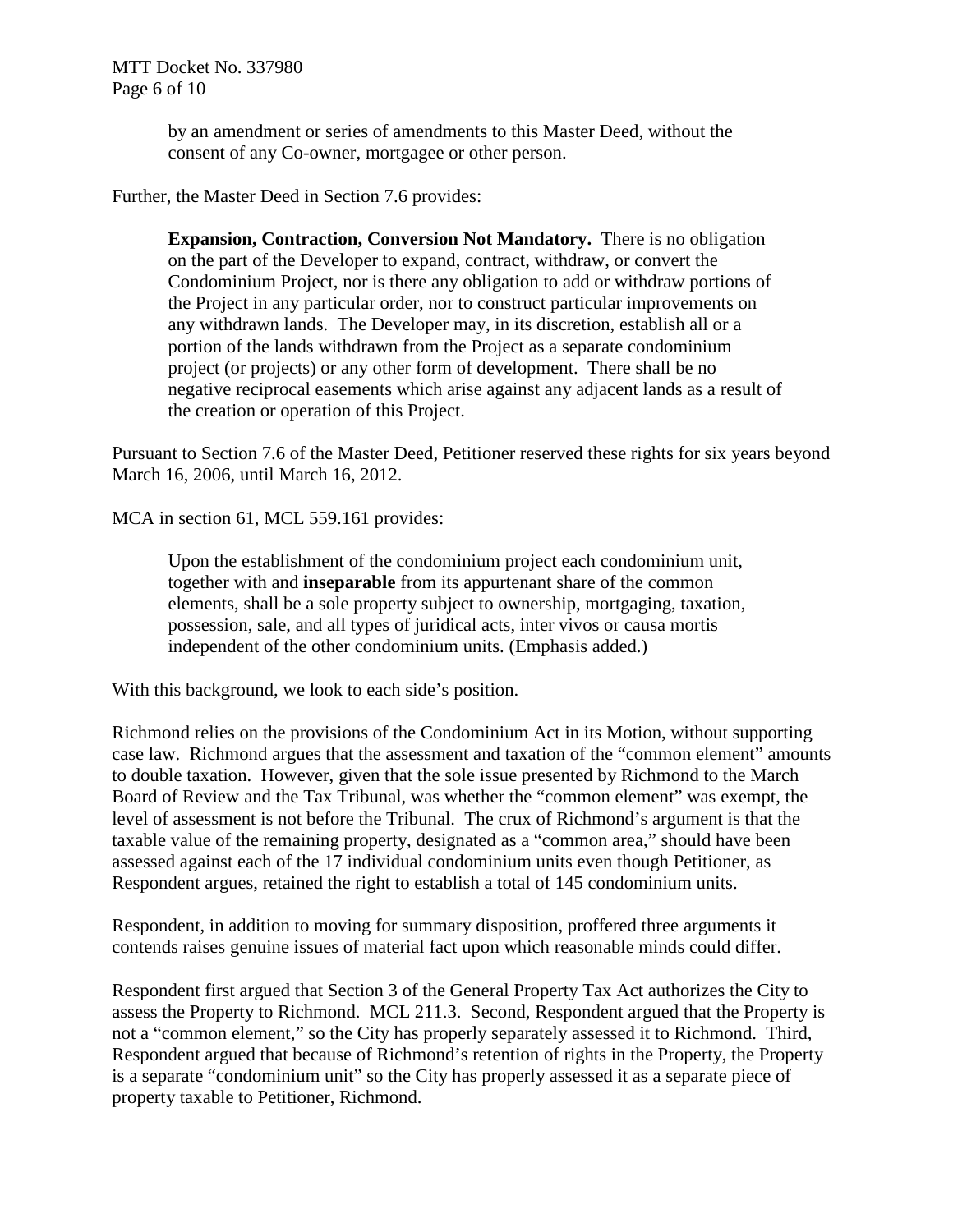by an amendment or series of amendments to this Master Deed, without the consent of any Co-owner, mortgagee or other person.

Further, the Master Deed in Section 7.6 provides:

**Expansion, Contraction, Conversion Not Mandatory.** There is no obligation on the part of the Developer to expand, contract, withdraw, or convert the Condominium Project, nor is there any obligation to add or withdraw portions of the Project in any particular order, nor to construct particular improvements on any withdrawn lands. The Developer may, in its discretion, establish all or a portion of the lands withdrawn from the Project as a separate condominium project (or projects) or any other form of development. There shall be no negative reciprocal easements which arise against any adjacent lands as a result of the creation or operation of this Project.

Pursuant to Section 7.6 of the Master Deed, Petitioner reserved these rights for six years beyond March 16, 2006, until March 16, 2012.

MCA in section 61, MCL 559.161 provides:

Upon the establishment of the condominium project each condominium unit, together with and **inseparable** from its appurtenant share of the common elements, shall be a sole property subject to ownership, mortgaging, taxation, possession, sale, and all types of juridical acts, inter vivos or causa mortis independent of the other condominium units. (Emphasis added.)

With this background, we look to each side's position.

Richmond relies on the provisions of the Condominium Act in its Motion, without supporting case law. Richmond argues that the assessment and taxation of the "common element" amounts to double taxation. However, given that the sole issue presented by Richmond to the March Board of Review and the Tax Tribunal, was whether the "common element" was exempt, the level of assessment is not before the Tribunal. The crux of Richmond's argument is that the taxable value of the remaining property, designated as a "common area," should have been assessed against each of the 17 individual condominium units even though Petitioner, as Respondent argues, retained the right to establish a total of 145 condominium units.

Respondent, in addition to moving for summary disposition, proffered three arguments it contends raises genuine issues of material fact upon which reasonable minds could differ.

Respondent first argued that Section 3 of the General Property Tax Act authorizes the City to assess the Property to Richmond. MCL 211.3. Second, Respondent argued that the Property is not a "common element," so the City has properly separately assessed it to Richmond. Third, Respondent argued that because of Richmond's retention of rights in the Property, the Property is a separate "condominium unit" so the City has properly assessed it as a separate piece of property taxable to Petitioner, Richmond.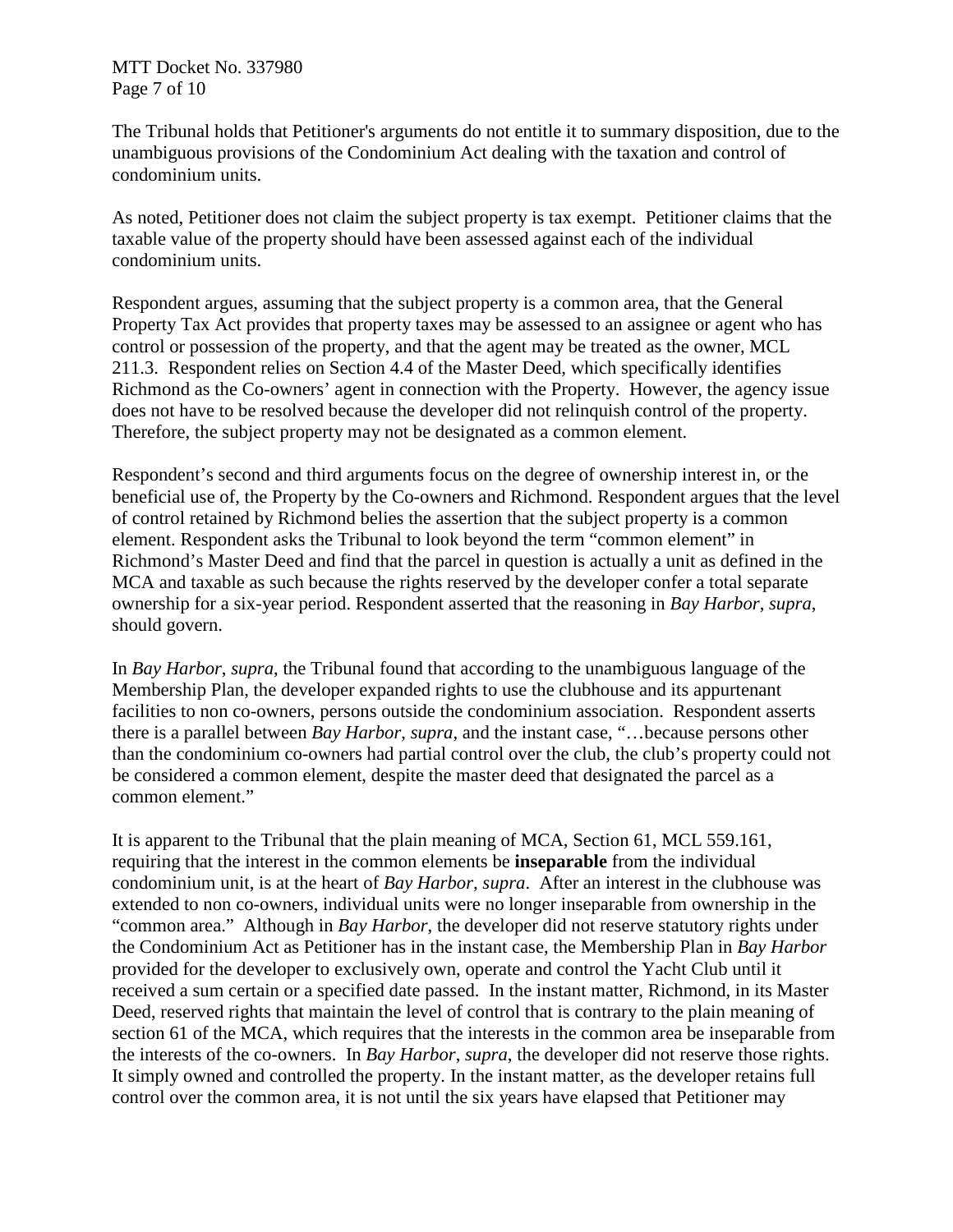MTT Docket No. 337980 Page 7 of 10

The Tribunal holds that Petitioner's arguments do not entitle it to summary disposition, due to the unambiguous provisions of the Condominium Act dealing with the taxation and control of condominium units.

As noted, Petitioner does not claim the subject property is tax exempt. Petitioner claims that the taxable value of the property should have been assessed against each of the individual condominium units.

Respondent argues, assuming that the subject property is a common area, that the General Property Tax Act provides that property taxes may be assessed to an assignee or agent who has control or possession of the property, and that the agent may be treated as the owner, MCL 211.3. Respondent relies on Section 4.4 of the Master Deed, which specifically identifies Richmond as the Co-owners' agent in connection with the Property. However, the agency issue does not have to be resolved because the developer did not relinquish control of the property. Therefore, the subject property may not be designated as a common element.

Respondent's second and third arguments focus on the degree of ownership interest in, or the beneficial use of, the Property by the Co-owners and Richmond. Respondent argues that the level of control retained by Richmond belies the assertion that the subject property is a common element. Respondent asks the Tribunal to look beyond the term "common element" in Richmond's Master Deed and find that the parcel in question is actually a unit as defined in the MCA and taxable as such because the rights reserved by the developer confer a total separate ownership for a six-year period. Respondent asserted that the reasoning in *Bay Harbor*, *supra*, should govern.

In *Bay Harbor*, *supra*, the Tribunal found that according to the unambiguous language of the Membership Plan, the developer expanded rights to use the clubhouse and its appurtenant facilities to non co-owners, persons outside the condominium association. Respondent asserts there is a parallel between *Bay Harbor*, *supra,* and the instant case, "…because persons other than the condominium co-owners had partial control over the club, the club's property could not be considered a common element, despite the master deed that designated the parcel as a common element."

It is apparent to the Tribunal that the plain meaning of MCA, Section 61, MCL 559.161, requiring that the interest in the common elements be **inseparable** from the individual condominium unit, is at the heart of *Bay Harbor, supra*. After an interest in the clubhouse was extended to non co-owners, individual units were no longer inseparable from ownership in the "common area." Although in *Bay Harbor*, the developer did not reserve statutory rights under the Condominium Act as Petitioner has in the instant case, the Membership Plan in *Bay Harbor* provided for the developer to exclusively own, operate and control the Yacht Club until it received a sum certain or a specified date passed. In the instant matter, Richmond, in its Master Deed, reserved rights that maintain the level of control that is contrary to the plain meaning of section 61 of the MCA, which requires that the interests in the common area be inseparable from the interests of the co-owners. In *Bay Harbor*, *supra*, the developer did not reserve those rights. It simply owned and controlled the property. In the instant matter, as the developer retains full control over the common area, it is not until the six years have elapsed that Petitioner may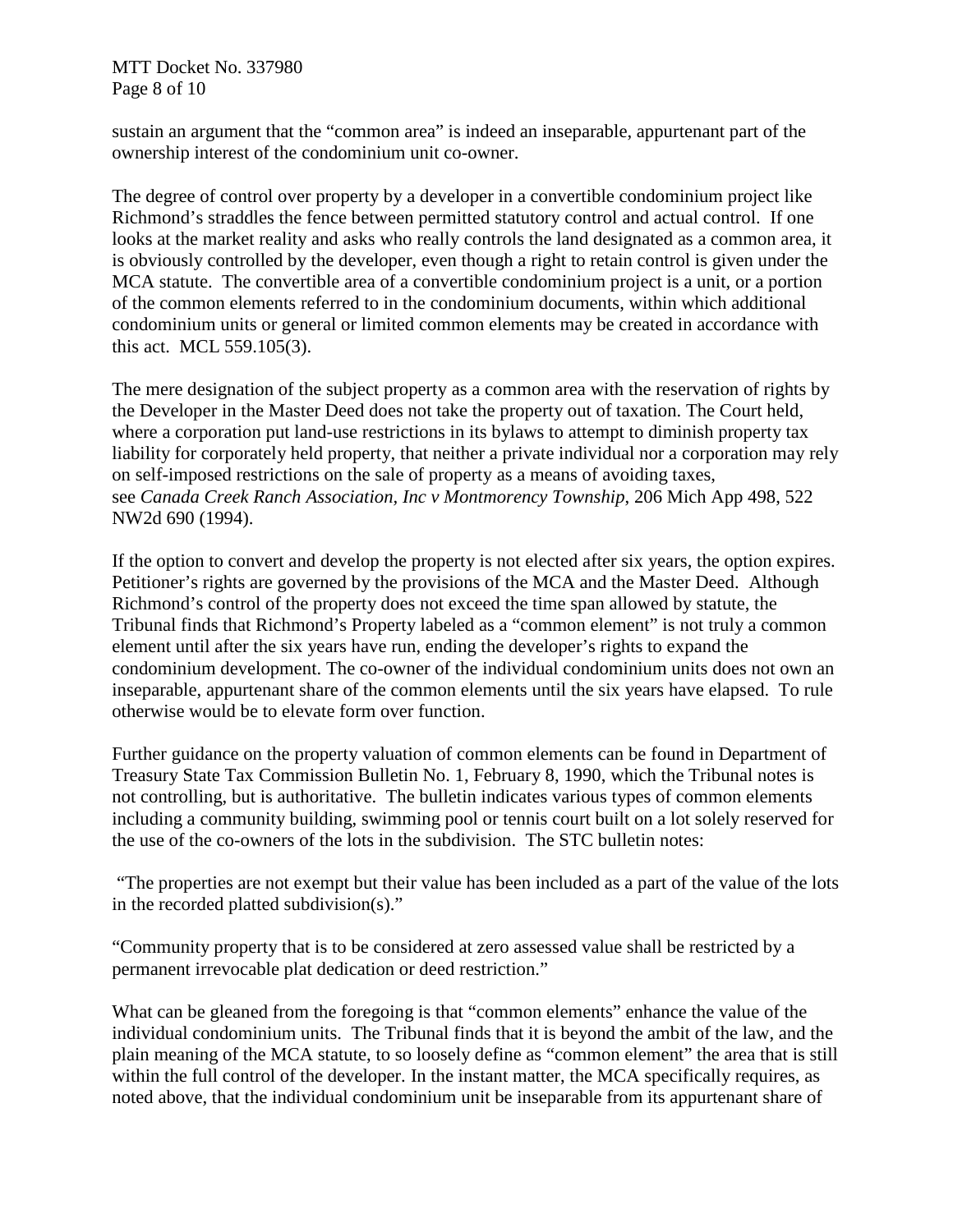MTT Docket No. 337980 Page 8 of 10

sustain an argument that the "common area" is indeed an inseparable, appurtenant part of the ownership interest of the condominium unit co-owner.

The degree of control over property by a developer in a convertible condominium project like Richmond's straddles the fence between permitted statutory control and actual control. If one looks at the market reality and asks who really controls the land designated as a common area, it is obviously controlled by the developer, even though a right to retain control is given under the MCA statute. The convertible area of a convertible condominium project is a unit, or a portion of the common elements referred to in the condominium documents, within which additional condominium units or general or limited common elements may be created in accordance with this act. MCL 559.105(3).

The mere designation of the subject property as a common area with the reservation of rights by the Developer in the Master Deed does not take the property out of taxation. The Court held, where a corporation put land-use restrictions in its bylaws to attempt to diminish property tax liability for corporately held property, that neither a private individual nor a corporation may rely on self-imposed restrictions on the sale of property as a means of avoiding taxes, see *Canada Creek Ranch Association, Inc v Montmorency Township*, 206 Mich App 498, 522 NW2d 690 (1994).

If the option to convert and develop the property is not elected after six years, the option expires. Petitioner's rights are governed by the provisions of the MCA and the Master Deed. Although Richmond's control of the property does not exceed the time span allowed by statute, the Tribunal finds that Richmond's Property labeled as a "common element" is not truly a common element until after the six years have run, ending the developer's rights to expand the condominium development. The co-owner of the individual condominium units does not own an inseparable, appurtenant share of the common elements until the six years have elapsed. To rule otherwise would be to elevate form over function.

Further guidance on the property valuation of common elements can be found in Department of Treasury State Tax Commission Bulletin No. 1, February 8, 1990, which the Tribunal notes is not controlling, but is authoritative. The bulletin indicates various types of common elements including a community building, swimming pool or tennis court built on a lot solely reserved for the use of the co-owners of the lots in the subdivision. The STC bulletin notes:

"The properties are not exempt but their value has been included as a part of the value of the lots in the recorded platted subdivision(s)."

"Community property that is to be considered at zero assessed value shall be restricted by a permanent irrevocable plat dedication or deed restriction."

What can be gleaned from the foregoing is that "common elements" enhance the value of the individual condominium units. The Tribunal finds that it is beyond the ambit of the law, and the plain meaning of the MCA statute, to so loosely define as "common element" the area that is still within the full control of the developer. In the instant matter, the MCA specifically requires, as noted above, that the individual condominium unit be inseparable from its appurtenant share of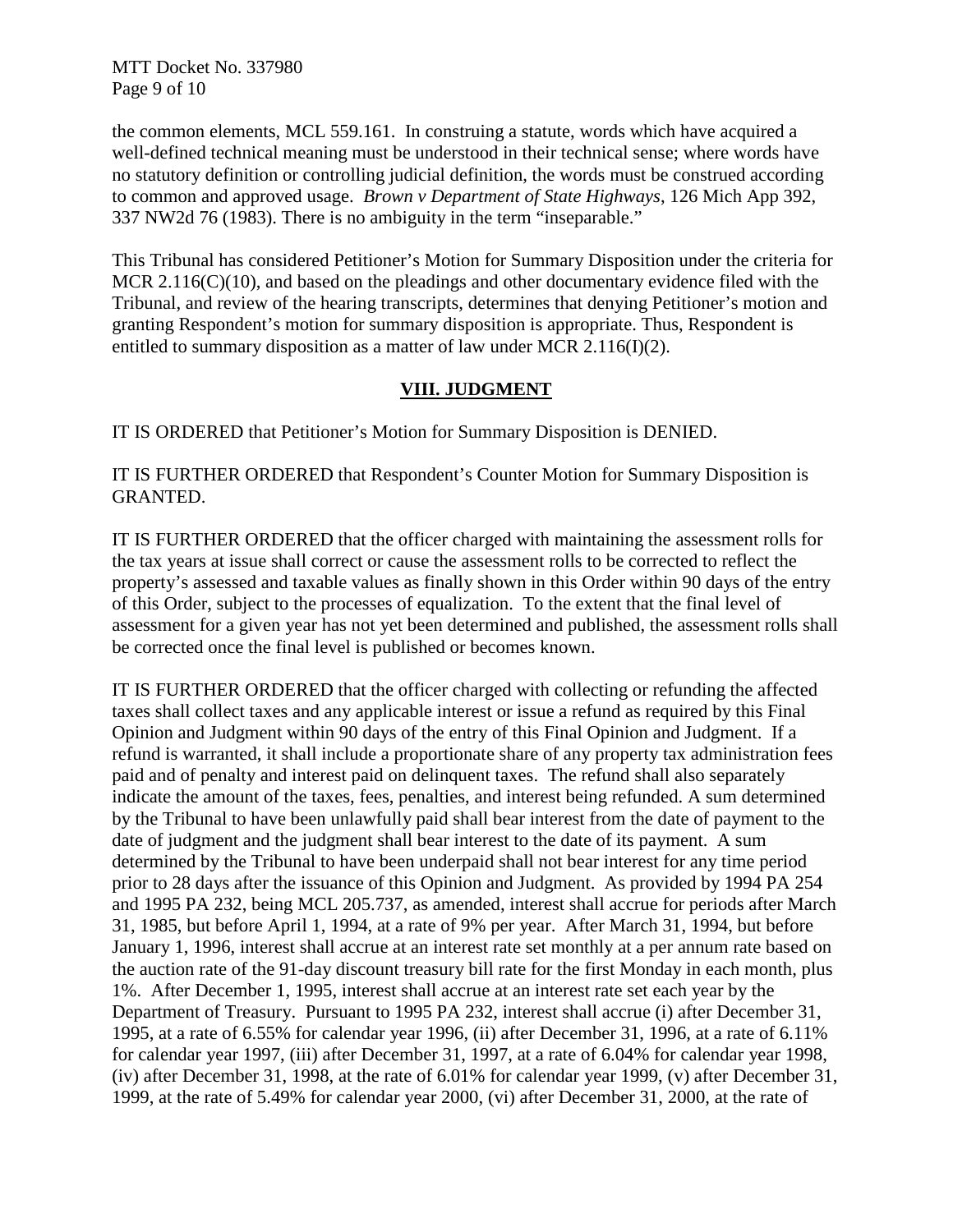MTT Docket No. 337980 Page 9 of 10

the common elements, MCL 559.161. In construing a statute, words which have acquired a well-defined technical meaning must be understood in their technical sense; where words have no statutory definition or controlling judicial definition, the words must be construed according to common and approved usage. *Brown v Department of State Highways*, 126 Mich App 392, 337 NW2d 76 (1983). There is no ambiguity in the term "inseparable."

This Tribunal has considered Petitioner's Motion for Summary Disposition under the criteria for MCR 2.116(C)(10), and based on the pleadings and other documentary evidence filed with the Tribunal, and review of the hearing transcripts, determines that denying Petitioner's motion and granting Respondent's motion for summary disposition is appropriate. Thus, Respondent is entitled to summary disposition as a matter of law under MCR 2.116(I)(2).

## **VIII. JUDGMENT**

IT IS ORDERED that Petitioner's Motion for Summary Disposition is DENIED.

IT IS FURTHER ORDERED that Respondent's Counter Motion for Summary Disposition is GRANTED.

IT IS FURTHER ORDERED that the officer charged with maintaining the assessment rolls for the tax years at issue shall correct or cause the assessment rolls to be corrected to reflect the property's assessed and taxable values as finally shown in this Order within 90 days of the entry of this Order, subject to the processes of equalization. To the extent that the final level of assessment for a given year has not yet been determined and published, the assessment rolls shall be corrected once the final level is published or becomes known.

IT IS FURTHER ORDERED that the officer charged with collecting or refunding the affected taxes shall collect taxes and any applicable interest or issue a refund as required by this Final Opinion and Judgment within 90 days of the entry of this Final Opinion and Judgment. If a refund is warranted, it shall include a proportionate share of any property tax administration fees paid and of penalty and interest paid on delinquent taxes. The refund shall also separately indicate the amount of the taxes, fees, penalties, and interest being refunded. A sum determined by the Tribunal to have been unlawfully paid shall bear interest from the date of payment to the date of judgment and the judgment shall bear interest to the date of its payment. A sum determined by the Tribunal to have been underpaid shall not bear interest for any time period prior to 28 days after the issuance of this Opinion and Judgment. As provided by 1994 PA 254 and 1995 PA 232, being MCL 205.737, as amended, interest shall accrue for periods after March 31, 1985, but before April 1, 1994, at a rate of 9% per year. After March 31, 1994, but before January 1, 1996, interest shall accrue at an interest rate set monthly at a per annum rate based on the auction rate of the 91-day discount treasury bill rate for the first Monday in each month, plus 1%. After December 1, 1995, interest shall accrue at an interest rate set each year by the Department of Treasury. Pursuant to 1995 PA 232, interest shall accrue (i) after December 31, 1995, at a rate of 6.55% for calendar year 1996, (ii) after December 31, 1996, at a rate of 6.11% for calendar year 1997, (iii) after December 31, 1997, at a rate of 6.04% for calendar year 1998, (iv) after December 31, 1998, at the rate of 6.01% for calendar year 1999, (v) after December 31, 1999, at the rate of 5.49% for calendar year 2000, (vi) after December 31, 2000, at the rate of